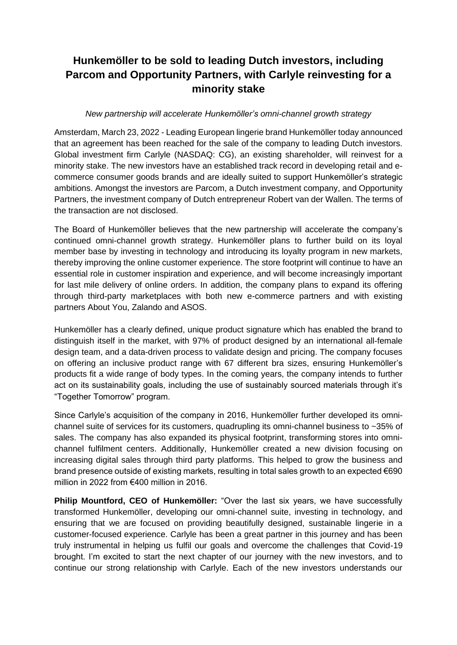# **Hunkemöller to be sold to leading Dutch investors, including Parcom and Opportunity Partners, with Carlyle reinvesting for a minority stake**

### *New partnership will accelerate Hunkemöller's omni-channel growth strategy*

Amsterdam, March 23, 2022 - Leading European lingerie brand Hunkemöller today announced that an agreement has been reached for the sale of the company to leading Dutch investors. Global investment firm Carlyle (NASDAQ: CG), an existing shareholder, will reinvest for a minority stake. The new investors have an established track record in developing retail and ecommerce consumer goods brands and are ideally suited to support Hunkemöller's strategic ambitions. Amongst the investors are Parcom, a Dutch investment company, and Opportunity Partners, the investment company of Dutch entrepreneur Robert van der Wallen. The terms of the transaction are not disclosed.

The Board of Hunkemöller believes that the new partnership will accelerate the company's continued omni-channel growth strategy. Hunkemöller plans to further build on its loyal member base by investing in technology and introducing its loyalty program in new markets, thereby improving the online customer experience. The store footprint will continue to have an essential role in customer inspiration and experience, and will become increasingly important for last mile delivery of online orders. In addition, the company plans to expand its offering through third-party marketplaces with both new e-commerce partners and with existing partners About You, Zalando and ASOS.

Hunkemöller has a clearly defined, unique product signature which has enabled the brand to distinguish itself in the market, with 97% of product designed by an international all-female design team, and a data-driven process to validate design and pricing. The company focuses on offering an inclusive product range with 67 different bra sizes, ensuring Hunkemöller's products fit a wide range of body types. In the coming years, the company intends to further act on its sustainability goals, including the use of sustainably sourced materials through it's "Together Tomorrow" program.

Since Carlyle's acquisition of the company in 2016, Hunkemöller further developed its omnichannel suite of services for its customers, quadrupling its omni-channel business to ~35% of sales. The company has also expanded its physical footprint, transforming stores into omnichannel fulfilment centers. Additionally, Hunkemöller created a new division focusing on increasing digital sales through third party platforms. This helped to grow the business and brand presence outside of existing markets, resulting in total sales growth to an expected €690 million in 2022 from €400 million in 2016.

**Philip Mountford, CEO of Hunkemöller:** "Over the last six years, we have successfully transformed Hunkemöller, developing our omni-channel suite, investing in technology, and ensuring that we are focused on providing beautifully designed, sustainable lingerie in a customer-focused experience. Carlyle has been a great partner in this journey and has been truly instrumental in helping us fulfil our goals and overcome the challenges that Covid-19 brought. I'm excited to start the next chapter of our journey with the new investors, and to continue our strong relationship with Carlyle. Each of the new investors understands our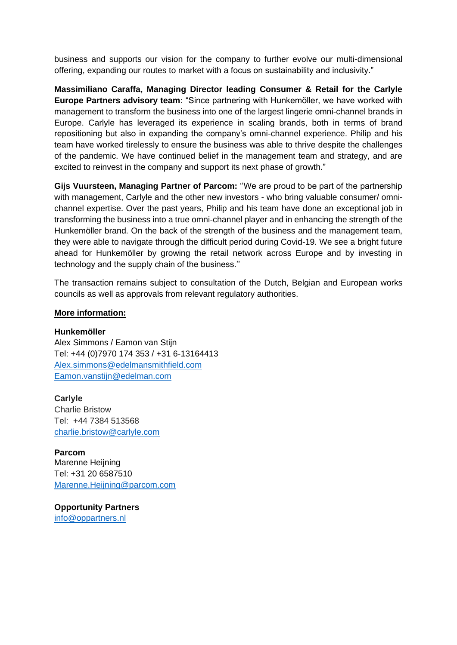business and supports our vision for the company to further evolve our multi-dimensional offering, expanding our routes to market with a focus on sustainability and inclusivity."

**Massimiliano Caraffa, Managing Director leading Consumer & Retail for the Carlyle Europe Partners advisory team:** "Since partnering with Hunkemöller, we have worked with management to transform the business into one of the largest lingerie omni-channel brands in Europe. Carlyle has leveraged its experience in scaling brands, both in terms of brand repositioning but also in expanding the company's omni-channel experience. Philip and his team have worked tirelessly to ensure the business was able to thrive despite the challenges of the pandemic. We have continued belief in the management team and strategy, and are excited to reinvest in the company and support its next phase of growth."

**Gijs Vuursteen, Managing Partner of Parcom:** ''We are proud to be part of the partnership with management, Carlyle and the other new investors - who bring valuable consumer/ omnichannel expertise. Over the past years, Philip and his team have done an exceptional job in transforming the business into a true omni-channel player and in enhancing the strength of the Hunkemöller brand. On the back of the strength of the business and the management team, they were able to navigate through the difficult period during Covid-19. We see a bright future ahead for Hunkemöller by growing the retail network across Europe and by investing in technology and the supply chain of the business.''

The transaction remains subject to consultation of the Dutch, Belgian and European works councils as well as approvals from relevant regulatory authorities.

#### **More information:**

#### **Hunkemöller**

Alex Simmons / Eamon van Stijn Tel: +44 (0)7970 174 353 / +31 6-13164413 Alex.simmons@edelmansmithfield.com Eamon.vanstijn@edelman.com

**Carlyle**  Charlie Bristow Tel: +44 7384 513568 [charlie.bristow@carlyle.com](mailto:charlie.bristow@carlyle.com)

**Parcom**  Marenne Heijning Tel: +31 20 6587510 [Marenne.Heijning@parcom.com](mailto:Marenne.Heijning@parcom.com)

**Opportunity Partners**  [info@oppartners.nl](mailto:info@oppartners.nl)